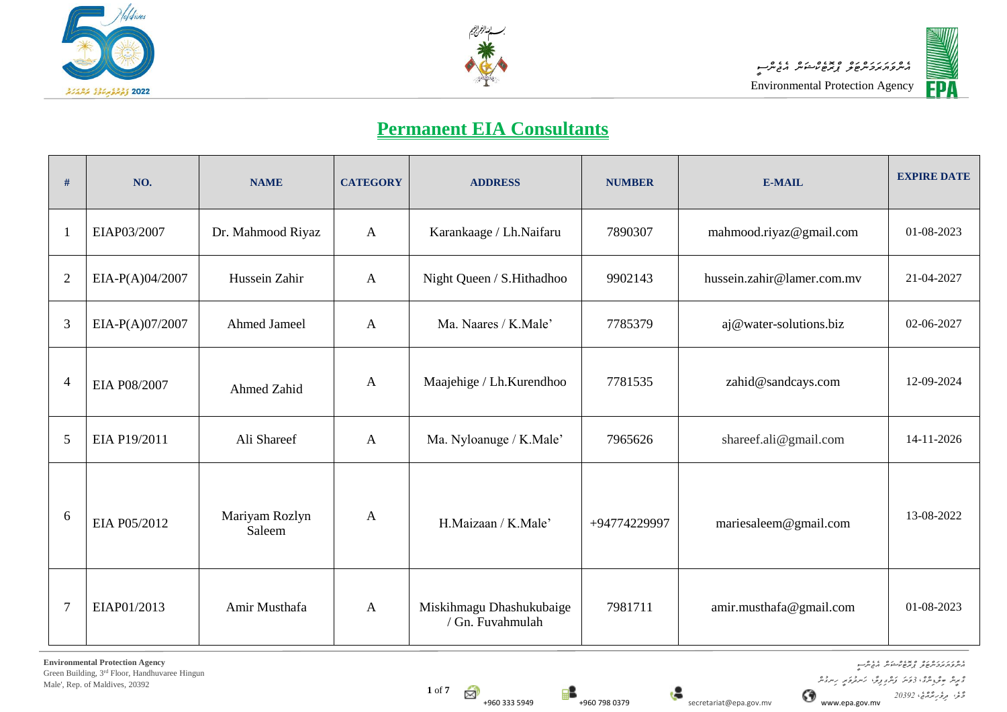





## **Permanent EIA Consultants**

| #              | NO.             | <b>NAME</b>              | <b>CATEGORY</b> | <b>ADDRESS</b>                               | <b>NUMBER</b> | E-MAIL                     | <b>EXPIRE DATE</b> |
|----------------|-----------------|--------------------------|-----------------|----------------------------------------------|---------------|----------------------------|--------------------|
|                | EIAP03/2007     | Dr. Mahmood Riyaz        | $\mathbf{A}$    | Karankaage / Lh.Naifaru                      | 7890307       | mahmood.riyaz@gmail.com    | 01-08-2023         |
| $\overline{2}$ | EIA-P(A)04/2007 | Hussein Zahir            | $\mathbf{A}$    | Night Queen / S.Hithadhoo                    | 9902143       | hussein.zahir@lamer.com.mv | 21-04-2027         |
| 3              | EIA-P(A)07/2007 | <b>Ahmed Jameel</b>      | $\mathbf{A}$    | Ma. Naares / K.Male'                         | 7785379       | aj@water-solutions.biz     | 02-06-2027         |
| 4              | EIA P08/2007    | Ahmed Zahid              | $\mathbf{A}$    | Maajehige / Lh.Kurendhoo                     | 7781535       | zahid@sandcays.com         | 12-09-2024         |
| 5              | EIA P19/2011    | Ali Shareef              | $\mathbf{A}$    | Ma. Nyloanuge / K.Male'                      | 7965626       | shareef.ali@gmail.com      | 14-11-2026         |
| 6              | EIA P05/2012    | Mariyam Rozlyn<br>Saleem | $\mathbf{A}$    | H.Maizaan / K.Male'                          | +94774229997  | mariesaleem@gmail.com      | 13-08-2022         |
| $\overline{7}$ | EIAP01/2013     | Amir Musthafa            | $\mathbf{A}$    | Miskihmagu Dhashukubaige<br>/ Gn. Fuvahmulah | 7981711       | amir.musthafa@gmail.com    | 01-08-2023         |

*އެންވަޔަރަމަންޓަލް ޕްރޮޓެކްޝަން އެޖެންސީ ގްރީން ބިލްޑިންގ*،*ް 3ވަނަ ފަންގިފިލ*،*ާ ހަނދުވަރީ ހިނގުން*

*މާލ،ެ ދިވެހިރާއްޖ*،*ެ 20392*

**1** of **7**  $\mathbb{Z}^2$ 



+960 333 5949 +960 798 0379 secretariat@epa.gov.mv www.epa.gov.mv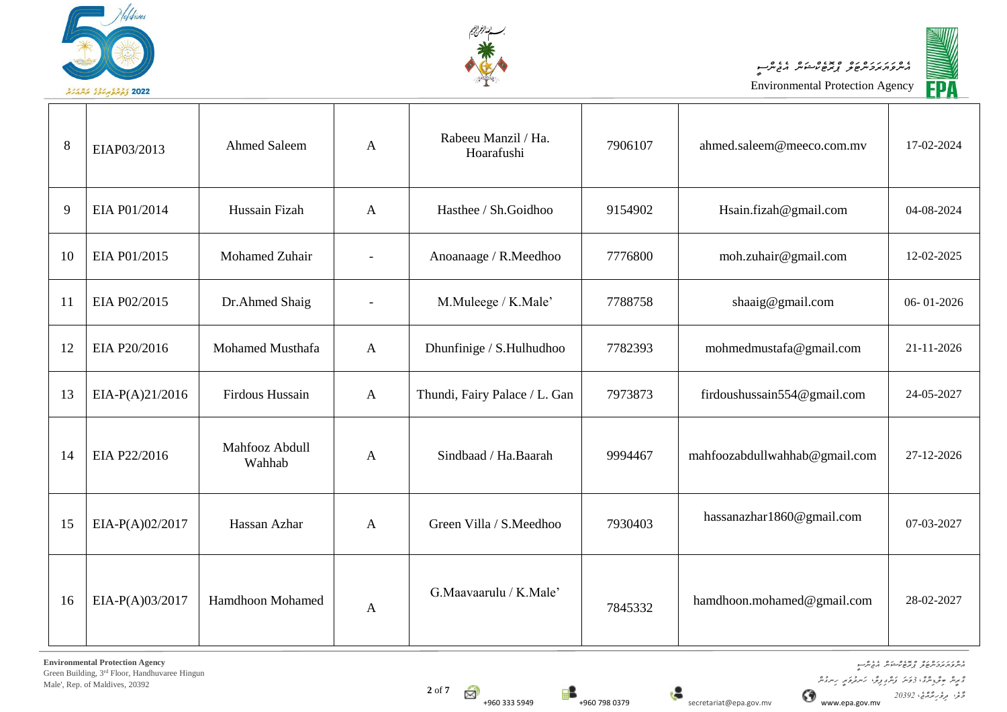





| 8  | EIAP03/2013       | <b>Ahmed Saleem</b>      | A            | Rabeeu Manzil / Ha.<br>Hoarafushi | 7906107 | ahmed.saleem@meeco.com.mv     | 17-02-2024 |
|----|-------------------|--------------------------|--------------|-----------------------------------|---------|-------------------------------|------------|
| 9  | EIA P01/2014      | Hussain Fizah            | $\mathbf{A}$ | Hasthee / Sh.Goidhoo              | 9154902 | Hsain.fizah@gmail.com         | 04-08-2024 |
| 10 | EIA P01/2015      | Mohamed Zuhair           |              | Anoanaage / R.Meedhoo             | 7776800 | moh.zuhair@gmail.com          | 12-02-2025 |
| 11 | EIA P02/2015      | Dr.Ahmed Shaig           |              | M.Muleege / K.Male'               | 7788758 | shaaig@gmail.com              | 06-01-2026 |
| 12 | EIA P20/2016      | Mohamed Musthafa         | $\mathbf{A}$ | Dhunfinige / S.Hulhudhoo          | 7782393 | mohmedmustafa@gmail.com       | 21-11-2026 |
| 13 | $EIA-P(A)21/2016$ | Firdous Hussain          | $\mathbf{A}$ | Thundi, Fairy Palace / L. Gan     | 7973873 | firdoushussain554@gmail.com   | 24-05-2027 |
| 14 | EIA P22/2016      | Mahfooz Abdull<br>Wahhab | $\mathbf{A}$ | Sindbaad / Ha.Baarah              | 9994467 | mahfoozabdullwahhab@gmail.com | 27-12-2026 |
| 15 | EIA-P(A)02/2017   | Hassan Azhar             | $\mathbf{A}$ | Green Villa / S.Meedhoo           | 7930403 | hassanazhar1860@gmail.com     | 07-03-2027 |
| 16 | EIA-P(A)03/2017   | <b>Hamdhoon Mohamed</b>  | A            | G.Maavaarulu / K.Male'            | 7845332 | hamdhoon.mohamed@gmail.com    | 28-02-2027 |

**Environmental Protection Agency** Green Building, 3rd Floor, Handhuvaree Hingun Male', Rep. of Maldives, 20392

*އެންވަޔަރަމަންޓަލް ޕްރޮޓެކްޝަން އެޖެންސީ ގްރީން ބިލްޑިންގ*،*ް 3ވަނަ ފަންގިފިލ*،*ާ ހަނދުވަރީ ހިނގުން*

*މާލ،ެ ދިވެހިރާއްޖ*،*ެ 20392*

 $2 \text{ of } 7$ 

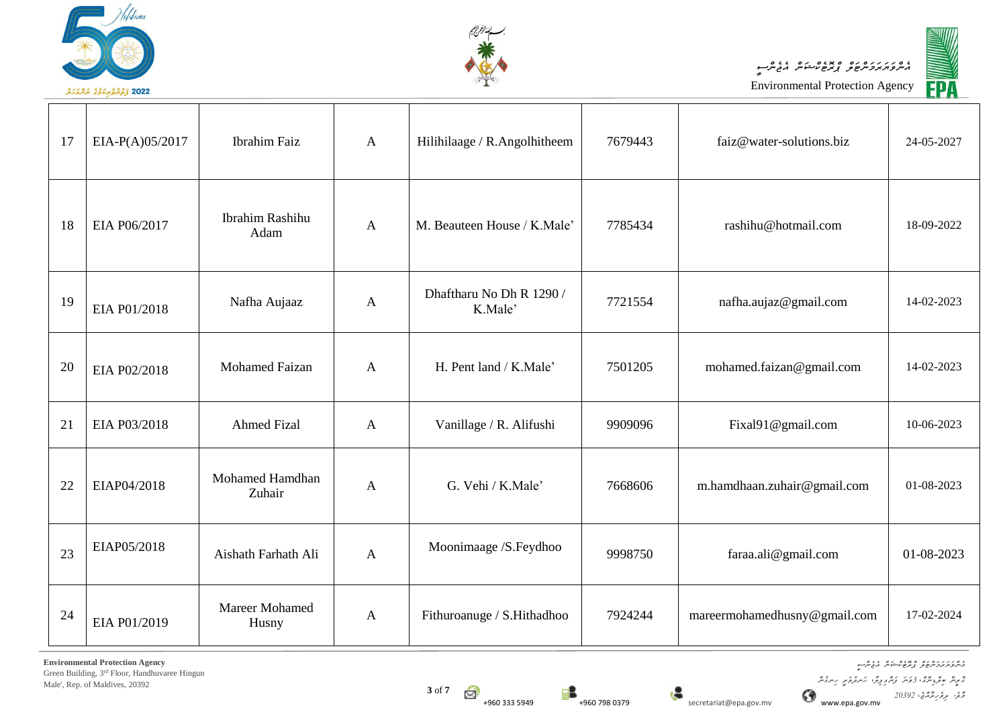





| 17 | EIA-P(A)05/2017 | <b>Ibrahim Faiz</b>       | $\mathbf{A}$ | Hilihilaage / R.Angolhitheem        | 7679443 | faiz@water-solutions.biz     | 24-05-2027 |
|----|-----------------|---------------------------|--------------|-------------------------------------|---------|------------------------------|------------|
| 18 | EIA P06/2017    | Ibrahim Rashihu<br>Adam   | $\mathbf{A}$ | M. Beauteen House / K.Male'         | 7785434 | rashihu@hotmail.com          | 18-09-2022 |
| 19 | EIA P01/2018    | Nafha Aujaaz              | $\mathbf{A}$ | Dhaftharu No Dh R 1290 /<br>K.Male' | 7721554 | nafha.aujaz@gmail.com        | 14-02-2023 |
| 20 | EIA P02/2018    | <b>Mohamed Faizan</b>     | $\mathbf{A}$ | H. Pent land / K.Male'              | 7501205 | mohamed.faizan@gmail.com     | 14-02-2023 |
| 21 | EIA P03/2018    | <b>Ahmed Fizal</b>        | $\mathbf{A}$ | Vanillage / R. Alifushi             | 9909096 | Fixal91@gmail.com            | 10-06-2023 |
| 22 | EIAP04/2018     | Mohamed Hamdhan<br>Zuhair | $\mathbf{A}$ | G. Vehi / K.Male'                   | 7668606 | m.hamdhaan.zuhair@gmail.com  | 01-08-2023 |
| 23 | EIAP05/2018     | Aishath Farhath Ali       | $\mathbf{A}$ | Moonimaage /S.Feydhoo               | 9998750 | faraa.ali@gmail.com          | 01-08-2023 |
| 24 | EIA P01/2019    | Mareer Mohamed<br>Husny   | $\mathbf{A}$ | Fithuroanuge / S.Hithadhoo          | 7924244 | mareermohamedhusny@gmail.com | 17-02-2024 |

**Environmental Protection Agency** Green Building, 3rd Floor, Handhuvaree Hingun

Male', Rep. of Maldives, 20392

*އެންވަޔަރަމަންޓަލް ޕްރޮޓެކްޝަން އެޖެންސީ* 

*މާލ،ެ ދިވެހިރާއްޖ*،*ެ 20392*

*ގްރީން ބިލްޑިންގ*،*ް 3ވަނަ ފަންގިފިލ*،*ާ ހަނދުވަރީ ހިނގުން*

**3** of **7** S

+960 333 5949 **+960 798 0379** secretariat@epa.gov.mv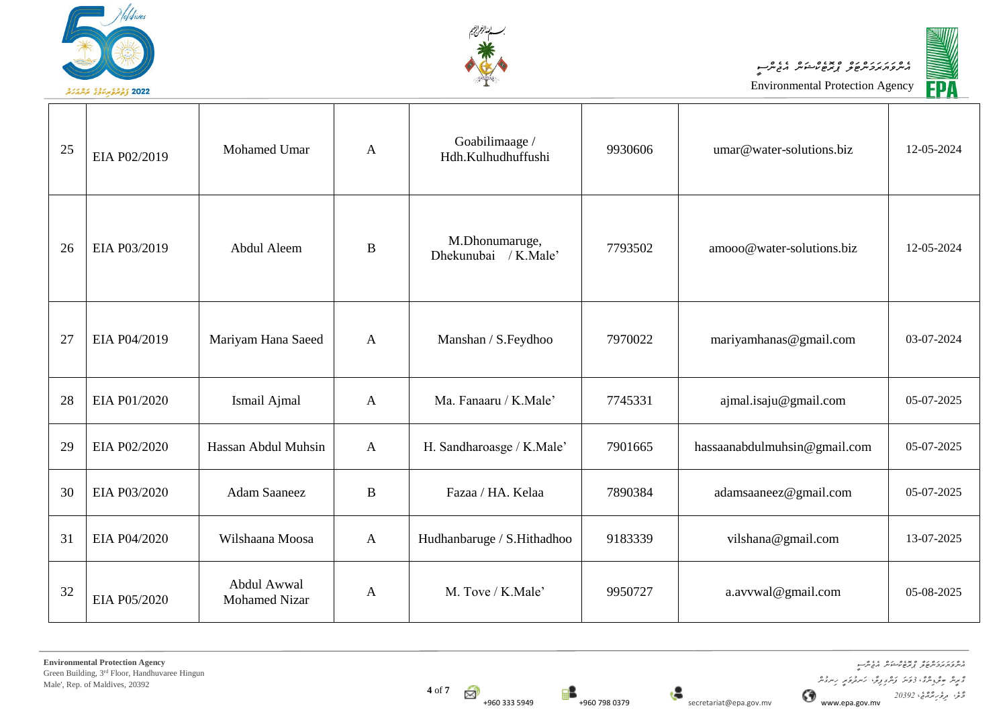





| 25 | EIA P02/2019 | <b>Mohamed Umar</b>                 | $\mathbf{A}$ | Goabilimaage /<br>Hdh.Kulhudhuffushi   | 9930606 | umar@water-solutions.biz     | 12-05-2024 |
|----|--------------|-------------------------------------|--------------|----------------------------------------|---------|------------------------------|------------|
| 26 | EIA P03/2019 | Abdul Aleem                         | B            | M.Dhonumaruge,<br>Dhekunubai / K.Male' | 7793502 | amooo@water-solutions.biz    | 12-05-2024 |
| 27 | EIA P04/2019 | Mariyam Hana Saeed                  | $\mathbf{A}$ | Manshan / S.Feydhoo                    | 7970022 | mariyamhanas@gmail.com       | 03-07-2024 |
| 28 | EIA P01/2020 | Ismail Ajmal                        | $\mathbf{A}$ | Ma. Fanaaru / K.Male'                  | 7745331 | ajmal.isaju@gmail.com        | 05-07-2025 |
| 29 | EIA P02/2020 | Hassan Abdul Muhsin                 | $\mathbf{A}$ | H. Sandharoasge / K.Male'              | 7901665 | hassaanabdulmuhsin@gmail.com | 05-07-2025 |
| 30 | EIA P03/2020 | <b>Adam Saaneez</b>                 | $\bf{B}$     | Fazaa / HA. Kelaa                      | 7890384 | adamsaaneez@gmail.com        | 05-07-2025 |
| 31 | EIA P04/2020 | Wilshaana Moosa                     | $\mathbf{A}$ | Hudhanbaruge / S.Hithadhoo             | 9183339 | vilshana@gmail.com           | 13-07-2025 |
| 32 | EIA P05/2020 | Abdul Awwal<br><b>Mohamed Nizar</b> | A            | M. Tove / K.Male'                      | 9950727 | a.avvwal@gmail.com           | 05-08-2025 |

**Environmental Protection Agency** Green Building, 3rd Floor, Handhuvaree Hingun Male', Rep. of Maldives, 20392

+960 333 5949 **Figure 12 50 5949 Figure 12 5 secretariat@epa.gov.mv** 

*އެންވަޔަރަމަންޓަލް ޕްރޮޓެކްޝަން އެޖެންސީ ގްރީން ބިލްޑިންގ*،*ް 3ވަނަ ފަންގިފިލ*،*ާ ހަނދުވަރީ ހިނގުން މާލ،ެ ދިވެހިރާއްޖ*،*ެ 20392*

**4** of **7**

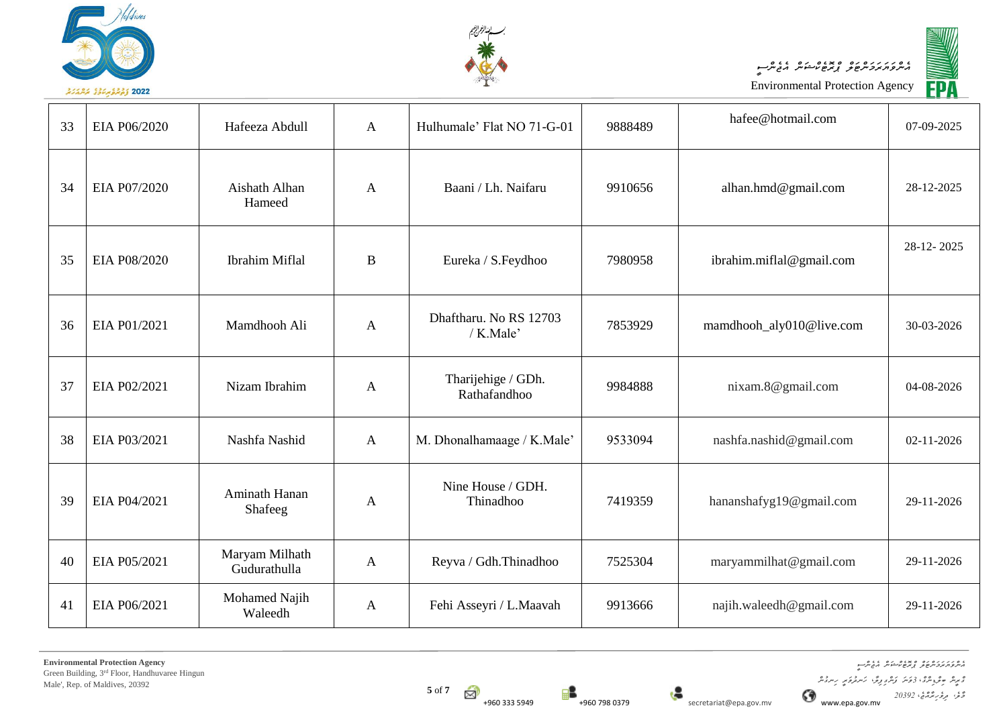





<sup>33</sup> EIA P06/2020 Hafeeza Abdull <sup>A</sup> Hulhumale' Flat NO 71-G-01 <sup>9888489</sup> hafee@hotmail.com 07-09-2025 34 EIA P07/2020 Aishath Alhan Hameed A Baani / Lh. Naifaru | 9910656 | alhan.hmd@gmail.com | 28-12-2025 35 EIA P08/2020 Ibrahim Miflal B Eureka / S.Feydhoo 7980958 ibrahim.miflal@gmail.com 28-12- 2025 36 EIA P01/2021 Mamdhooh Ali A Dhaftharu. No RS 12703<br>/ K.Male' 7853929 mamdhooh aly010@live.com 30-03-2026 37 EIA P02/2021 Nizam Ibrahim A Tharijehige / GDh. 9984888 nixam.8@gmail.com 104-08-2026 38 EIA P03/2021 Nashfa Nashid A M. Dhonalhamaage / K.Male' 9533094 nashfa.nashid@gmail.com 02-11-2026 <sup>39</sup> EIA P04/2021 Aminath Hanan maan rianan<br>Shafeeg A Nine House / GDH. Thinadhoo 7419359 hananshafyg19@gmail.com 29-11-2026 40 EIA P05/2021 Maryam Milhath A Reyva / Gdh.Thinadhoo | 7525304 | maryammilhat@gmail.com | 29-11-2026 41 EIA P06/2021 Mohamed Najih<br>Waleedh A Fehi Asseyri / L.Maavah 9913666 najih.waleedh@gmail.com 29-11-2026

**5** of **7** ₩



*އެންވަޔަރަމަންޓަލް ޕްރޮޓެކްޝަން އެޖެންސީ ގްރީން ބިލްޑިންގ*،*ް 3ވަނަ ފަންގިފިލ*،*ާ ހަނދުވަރީ ހިނގުން*

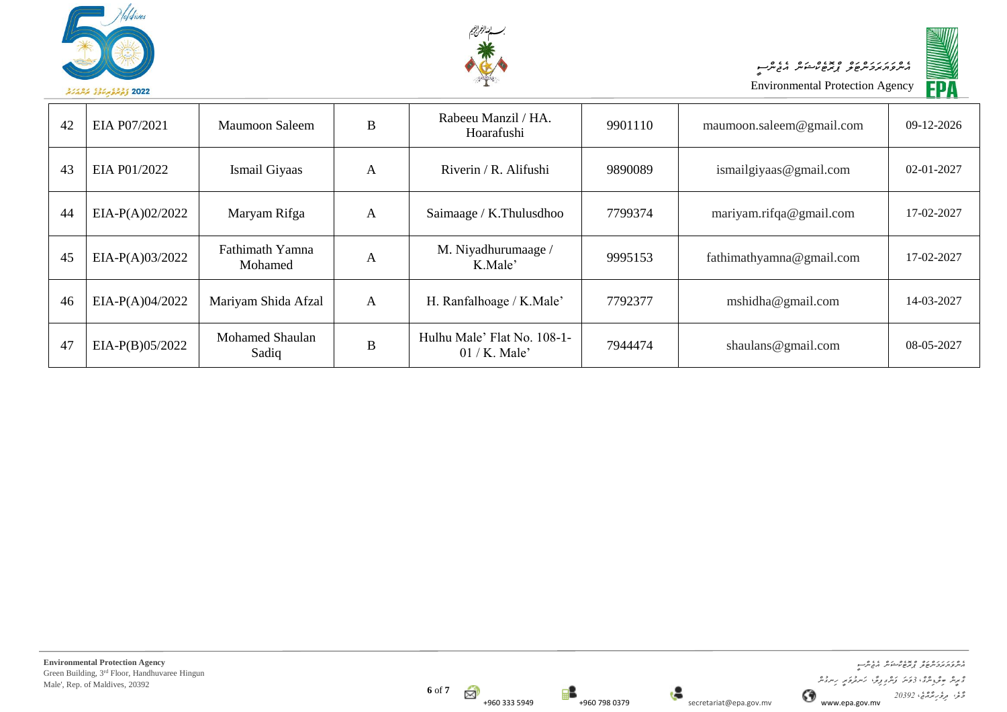



─ा

Environmental Protection Agency *އެންވަޔަރަމަންޓަލް ޕްރޮޓެކްޝަން އެޖެންސީ*



| 42 | EIA P07/2021      | Maumoon Saleem                  | B | Rabeeu Manzil / HA.<br>Hoarafushi             | 9901110 | maumoon.saleem@gmail.com | 09-12-2026       |
|----|-------------------|---------------------------------|---|-----------------------------------------------|---------|--------------------------|------------------|
| 43 | EIA P01/2022      | Ismail Giyaas                   | A | Riverin / R. Alifushi                         | 9890089 | ismailgiyaas@gmail.com   | $02 - 01 - 2027$ |
| 44 | $EIA-P(A)02/2022$ | Maryam Rifga                    | A | Saimaage / K.Thulusdhoo                       | 7799374 | mariyam.rifqa@gmail.com  | 17-02-2027       |
| 45 | $EIA-P(A)03/2022$ | Fathimath Yamna<br>Mohamed      | А | M. Niyadhurumaage /<br>K.Male'                | 9995153 | fathimathyamna@gmail.com | 17-02-2027       |
| 46 | $EIA-P(A)04/2022$ | Mariyam Shida Afzal             | A | H. Ranfalhoage / K.Male'                      | 7792377 | mshidha@gmail.com        | 14-03-2027       |
| 47 | $EIA-P(B)05/2022$ | <b>Mohamed Shaulan</b><br>Sadiq | B | Hulhu Male' Flat No. 108-1-<br>$01/K$ . Male' | 7944474 | shaulans@gmail.com       | 08-05-2027       |





┓